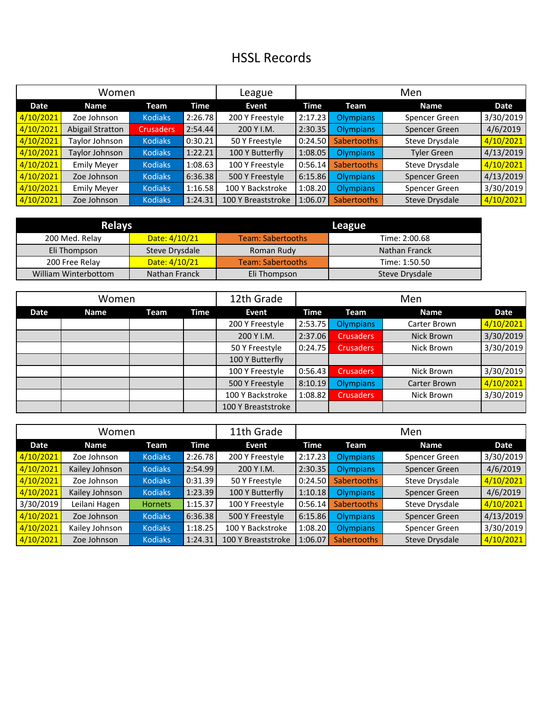## HSSL Records

| Women     |                    |                  |         | League             | Men     |                    |                    |           |
|-----------|--------------------|------------------|---------|--------------------|---------|--------------------|--------------------|-----------|
| Date      | <b>Name</b>        | Team             | Time    | Event              | Time    | Team               | <b>Name</b>        | Date      |
| 4/10/2021 | Zoe Johnson        | <b>Kodiaks</b>   | 2:26.78 | 200 Y Freestyle    | 2:17.23 | Olympians          | Spencer Green      | 3/30/2019 |
| 4/10/2021 | Abigail Stratton   | <b>Crusaders</b> | 2:54.44 | 200 Y I.M.         | 2:30.35 | Olympians          | Spencer Green      | 4/6/2019  |
| 4/10/2021 | Taylor Johnson     | <b>Kodiaks</b>   | 0:30.21 | 50 Y Freestyle     | 0:24.50 | <b>Sabertooths</b> | Steve Drysdale     | 4/10/2021 |
| 4/10/2021 | Taylor Johnson     | <b>Kodiaks</b>   | 1:22.21 | 100 Y Butterfly    | 1:08.05 | Olympians          | <b>Tyler Green</b> | 4/13/2019 |
| 4/10/2021 | <b>Emily Meyer</b> | <b>Kodiaks</b>   | 1:08.63 | 100 Y Freestyle    | 0:56.14 | <b>Sabertooths</b> | Steve Drysdale     | 4/10/2021 |
| 4/10/2021 | Zoe Johnson        | <b>Kodiaks</b>   | 6:36.38 | 500 Y Freestyle    | 6:15.86 | Olympians          | Spencer Green      | 4/13/2019 |
| 4/10/2021 | <b>Emily Meyer</b> | <b>Kodiaks</b>   | 1:16.58 | 100 Y Backstroke   | 1:08.20 | <b>Olympians</b>   | Spencer Green      | 3/30/2019 |
| 4/10/2021 | Zoe Johnson        | <b>Kodiaks</b>   | 1:24.31 | 100 Y Breaststroke | 1:06.07 | <b>Sabertooths</b> | Steve Drysdale     | 4/10/2021 |

| <b>Relays</b>        |                | League                   |                |  |  |  |
|----------------------|----------------|--------------------------|----------------|--|--|--|
| 200 Med. Relay       | Date: 4/10/21  | Team: Sabertooths        | Time: 2:00.68  |  |  |  |
| Eli Thompson         | Steve Drysdale | Roman Rudy               | Nathan Franck  |  |  |  |
| 200 Free Relay       | Date: 4/10/21  | <b>Team: Sabertooths</b> | Time: 1:50.50  |  |  |  |
| William Winterbottom | Nathan Franck  | Eli Thompson             | Steve Drysdale |  |  |  |

| Women |             |      |      | 12th Grade         | Men     |                  |              |           |
|-------|-------------|------|------|--------------------|---------|------------------|--------------|-----------|
| Date  | <b>Name</b> | Team | Time | Event              | Time    | Team             | <b>Name</b>  | Date      |
|       |             |      |      | 200 Y Freestyle    | 2:53.75 | <b>Olympians</b> | Carter Brown | 4/10/2021 |
|       |             |      |      | 200 Y I.M.         | 2:37.06 | <b>Crusaders</b> | Nick Brown   | 3/30/2019 |
|       |             |      |      | 50 Y Freestyle     | 0:24.75 | <b>Crusaders</b> | Nick Brown   | 3/30/2019 |
|       |             |      |      | 100 Y Butterfly    |         |                  |              |           |
|       |             |      |      | 100 Y Freestyle    | 0:56.43 | <b>Crusaders</b> | Nick Brown   | 3/30/2019 |
|       |             |      |      | 500 Y Freestyle    | 8:10.19 | <b>Olympians</b> | Carter Brown | 4/10/2021 |
|       |             |      |      | 100 Y Backstroke   | 1:08.82 | <b>Crusaders</b> | Nick Brown   | 3/30/2019 |
|       |             |      |      | 100 Y Breaststroke |         |                  |              |           |

| Women     |                |                |         | 11th Grade         | Men     |                    |                |           |
|-----------|----------------|----------------|---------|--------------------|---------|--------------------|----------------|-----------|
| Date      | <b>Name</b>    | Team           | Time    | Event              | Time    | Team               | <b>Name</b>    | Date      |
| 4/10/2021 | Zoe Johnson    | <b>Kodiaks</b> | 2:26.78 | 200 Y Freestyle    | 2:17.23 | <b>Olympians</b>   | Spencer Green  | 3/30/2019 |
| 4/10/2021 | Kailey Johnson | <b>Kodiaks</b> | 2:54.99 | 200 Y I.M.         | 2:30.35 | <b>Olympians</b>   | Spencer Green  | 4/6/2019  |
| 4/10/2021 | Zoe Johnson    | <b>Kodiaks</b> | 0:31.39 | 50 Y Freestyle     | 0:24.50 | <b>Sabertooths</b> | Steve Drysdale | 4/10/2021 |
| 4/10/2021 | Kailey Johnson | <b>Kodiaks</b> | 1:23.39 | 100 Y Butterfly    | 1:10.18 | <b>Olympians</b>   | Spencer Green  | 4/6/2019  |
| 3/30/2019 | Leilani Hagen  | <b>Hornets</b> | 1:15.37 | 100 Y Freestyle    | 0:56.14 | <b>Sabertooths</b> | Steve Drysdale | 4/10/2021 |
| 4/10/2021 | Zoe Johnson    | <b>Kodiaks</b> | 6:36.38 | 500 Y Freestyle    | 6:15.86 | <b>Olympians</b>   | Spencer Green  | 4/13/2019 |
| 4/10/2021 | Kailey Johnson | <b>Kodiaks</b> | 1:18.25 | 100 Y Backstroke   | 1:08.20 | <b>Olympians</b>   | Spencer Green  | 3/30/2019 |
| 4/10/2021 | Zoe Johnson    | <b>Kodiaks</b> | 1:24.31 | 100 Y Breaststroke | 1:06.07 | <b>Sabertooths</b> | Steve Drysdale | 4/10/2021 |